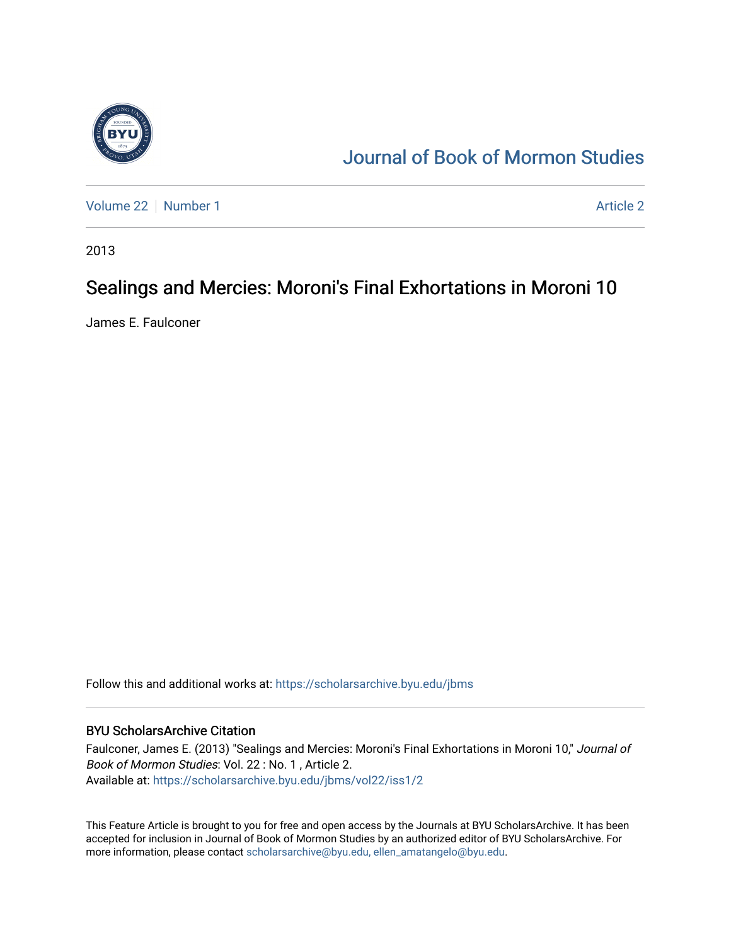

# [Journal of Book of Mormon Studies](https://scholarsarchive.byu.edu/jbms)

[Volume 22](https://scholarsarchive.byu.edu/jbms/vol22) [Number 1](https://scholarsarchive.byu.edu/jbms/vol22/iss1) [Article 2](https://scholarsarchive.byu.edu/jbms/vol22/iss1/2) Article 2 Article 2

2013

# Sealings and Mercies: Moroni's Final Exhortations in Moroni 10

James E. Faulconer

Follow this and additional works at: [https://scholarsarchive.byu.edu/jbms](https://scholarsarchive.byu.edu/jbms?utm_source=scholarsarchive.byu.edu%2Fjbms%2Fvol22%2Fiss1%2F2&utm_medium=PDF&utm_campaign=PDFCoverPages) 

# BYU ScholarsArchive Citation

Faulconer, James E. (2013) "Sealings and Mercies: Moroni's Final Exhortations in Moroni 10," Journal of Book of Mormon Studies: Vol. 22 : No. 1 , Article 2. Available at: [https://scholarsarchive.byu.edu/jbms/vol22/iss1/2](https://scholarsarchive.byu.edu/jbms/vol22/iss1/2?utm_source=scholarsarchive.byu.edu%2Fjbms%2Fvol22%2Fiss1%2F2&utm_medium=PDF&utm_campaign=PDFCoverPages) 

This Feature Article is brought to you for free and open access by the Journals at BYU ScholarsArchive. It has been accepted for inclusion in Journal of Book of Mormon Studies by an authorized editor of BYU ScholarsArchive. For more information, please contact [scholarsarchive@byu.edu, ellen\\_amatangelo@byu.edu.](mailto:scholarsarchive@byu.edu,%20ellen_amatangelo@byu.edu)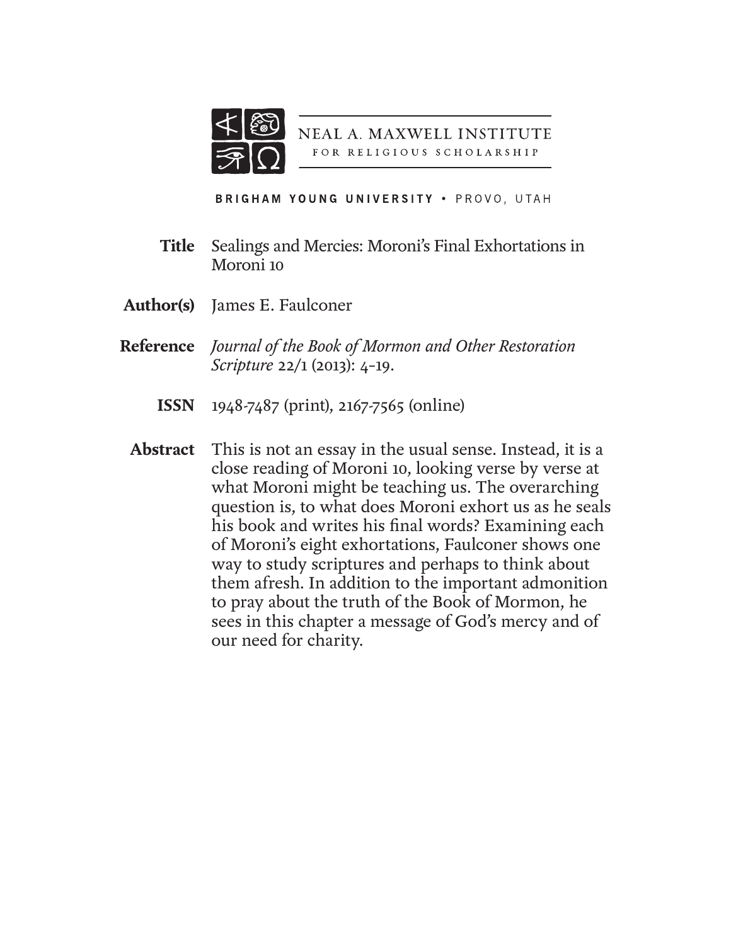

NEAL A. MAXWELL INSTITUTE FOR RELIGIOUS SCHOLARSHIP

BRIGHAM YOUNG UNIVERSITY . PROVO, UTAH

- Sealings and Mercies: Moroni's Final Exhortations in Moroni 10 **Title**
- **Author(s)** James E. Faulconer
- *Journal of the Book of Mormon and Other Restoration*  **Reference** *Scripture* 22/1 (2013): 4–19.
	- 1948-7487 (print), 2167-7565 (online) **ISSN**
	- **Abstract** This is not an essay in the usual sense. Instead, it is a close reading of Moroni 10, looking verse by verse at what Moroni might be teaching us. The overarching question is, to what does Moroni exhort us as he seals his book and writes his final words? Examining each of Moroni's eight exhortations, Faulconer shows one way to study scriptures and perhaps to think about them afresh. In addition to the important admonition to pray about the truth of the Book of Mormon, he sees in this chapter a message of God's mercy and of our need for charity.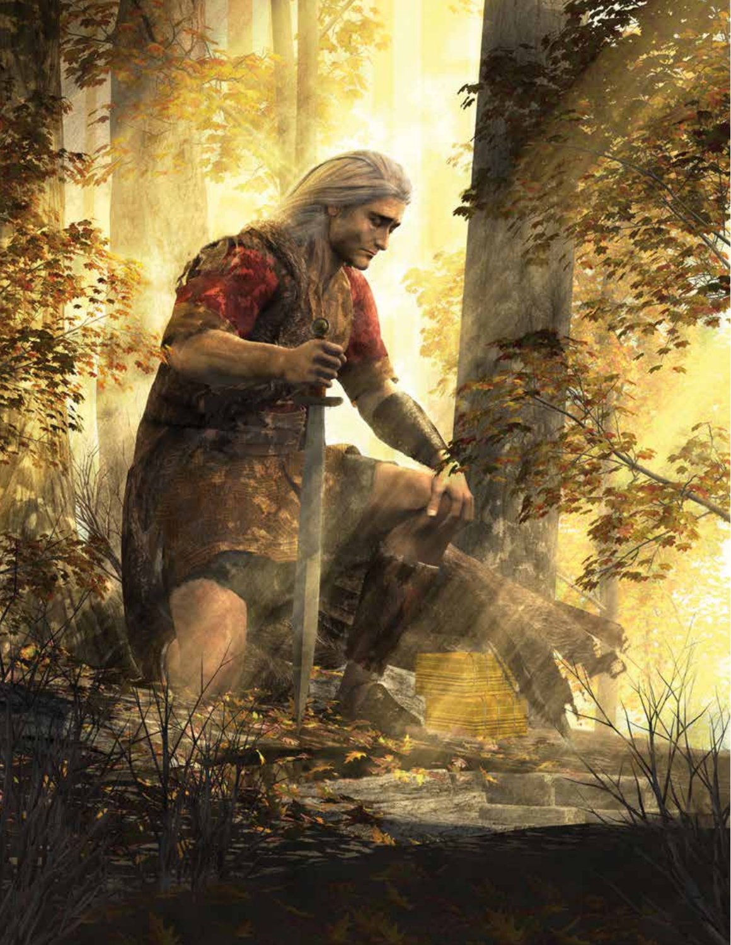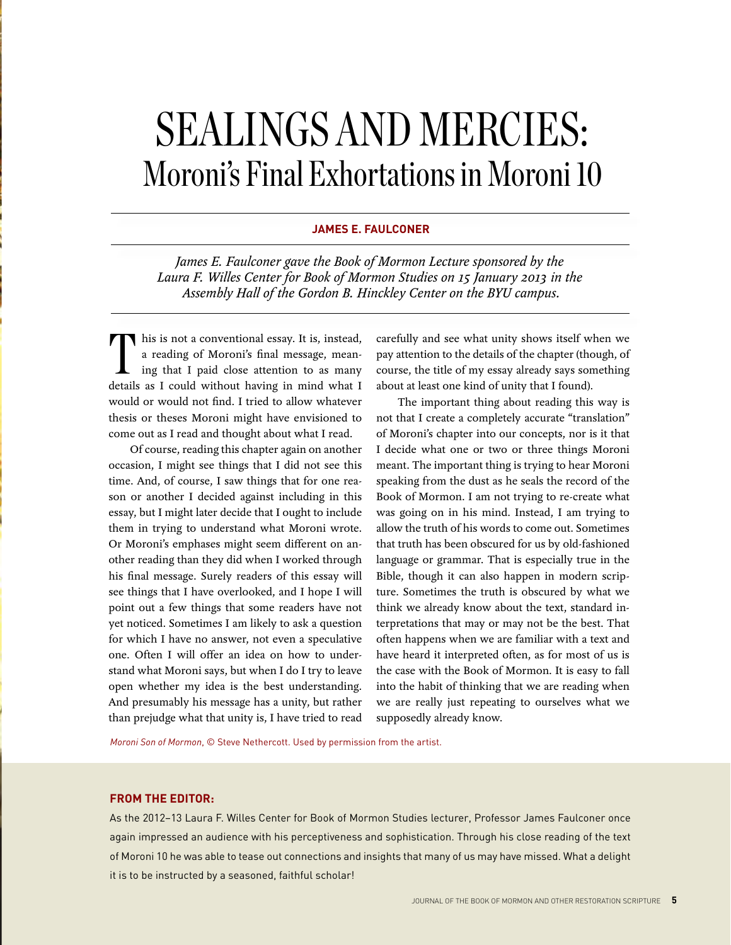# sealings and mercies: Moroni's Final Exhortations in Moroni 10

## **James E. Faulconer**

*James E. Faulconer gave the Book of Mormon Lecture sponsored by the Laura F. Willes Center for Book of Mormon Studies on 15 January 2013 in the Assembly Hall of the Gordon B. Hinckley Center on the BYU campus.*

This is not a conventional essay. It is, instead,<br>a reading of Moroni's final message, mean-<br>ing that I paid close attention to as many<br>datails as I aculd without having in mind what I a reading of Moroni's final message, meaning that I paid close attention to as many details as I could without having in mind what I would or would not find. I tried to allow whatever thesis or theses Moroni might have envisioned to come out as I read and thought about what I read.

Of course, reading this chapter again on another occasion, I might see things that I did not see this time. And, of course, I saw things that for one reason or another I decided against including in this essay, but I might later decide that I ought to include them in trying to understand what Moroni wrote. Or Moroni's emphases might seem different on another reading than they did when I worked through his final message. Surely readers of this essay will see things that I have overlooked, and I hope I will point out a few things that some readers have not yet noticed. Sometimes I am likely to ask a question for which I have no answer, not even a speculative one. Often I will offer an idea on how to understand what Moroni says, but when I do I try to leave open whether my idea is the best understanding. And presumably his message has a unity, but rather than prejudge what that unity is, I have tried to read

carefully and see what unity shows itself when we pay attention to the details of the chapter (though, of course, the title of my essay already says something about at least one kind of unity that I found).

The important thing about reading this way is not that I create a completely accurate "translation" of Moroni's chapter into our concepts, nor is it that I decide what one or two or three things Moroni meant. The important thing is trying to hear Moroni speaking from the dust as he seals the record of the Book of Mormon. I am not trying to re-create what was going on in his mind. Instead, I am trying to allow the truth of his words to come out. Sometimes that truth has been obscured for us by old-fashioned language or grammar. That is especially true in the Bible, though it can also happen in modern scripture. Sometimes the truth is obscured by what we think we already know about the text, standard interpretations that may or may not be the best. That often happens when we are familiar with a text and have heard it interpreted often, as for most of us is the case with the Book of Mormon. It is easy to fall into the habit of thinking that we are reading when we are really just repeating to ourselves what we supposedly already know.

*Moroni Son of Mormon*, © Steve Nethercott. Used by permission from the artist.

#### **FROM THE EDITOR:**

As the 2012–13 Laura F. Willes Center for Book of Mormon Studies lecturer, Professor James Faulconer once again impressed an audience with his perceptiveness and sophistication. Through his close reading of the text of Moroni 10 he was able to tease out connections and insights that many of us may have missed. What a delight it is to be instructed by a seasoned, faithful scholar!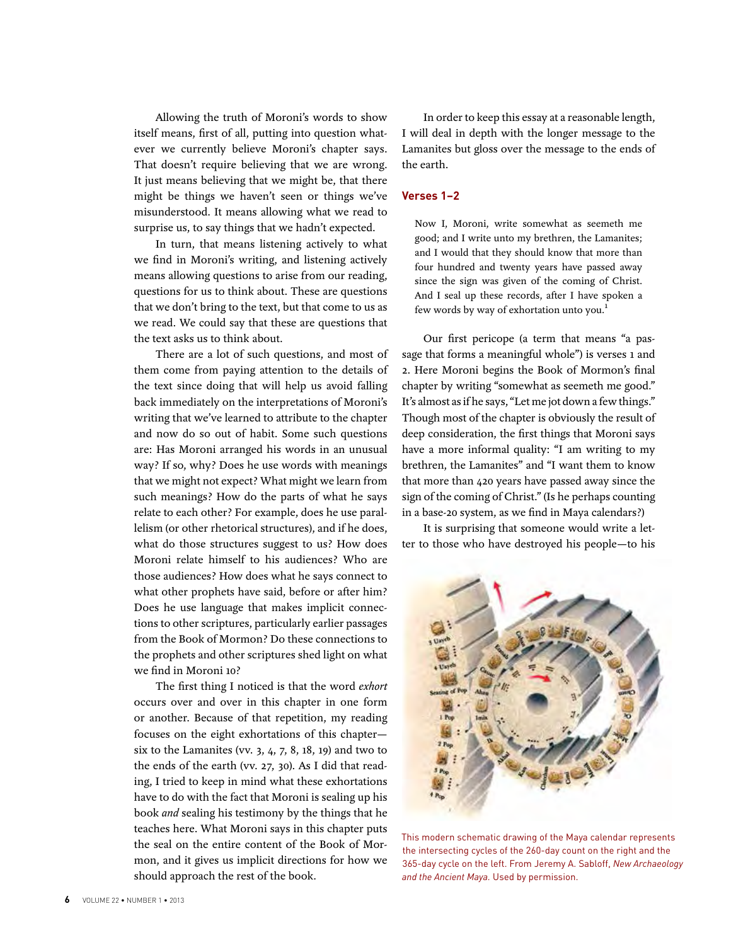Allowing the truth of Moroni's words to show itself means, first of all, putting into question whatever we currently believe Moroni's chapter says. That doesn't require believing that we are wrong. It just means believing that we might be, that there might be things we haven't seen or things we've misunderstood. It means allowing what we read to surprise us, to say things that we hadn't expected.

In turn, that means listening actively to what we find in Moroni's writing, and listening actively means allowing questions to arise from our reading, questions for us to think about. These are questions that we don't bring to the text, but that come to us as we read. We could say that these are questions that the text asks us to think about.

There are a lot of such questions, and most of them come from paying attention to the details of the text since doing that will help us avoid falling back immediately on the interpretations of Moroni's writing that we've learned to attribute to the chapter and now do so out of habit. Some such questions are: Has Moroni arranged his words in an unusual way? If so, why? Does he use words with meanings that we might not expect? What might we learn from such meanings? How do the parts of what he says relate to each other? For example, does he use parallelism (or other rhetorical structures), and if he does, what do those structures suggest to us? How does Moroni relate himself to his audiences? Who are those audiences? How does what he says connect to what other prophets have said, before or after him? Does he use language that makes implicit connections to other scriptures, particularly earlier passages from the Book of Mormon? Do these connections to the prophets and other scriptures shed light on what we find in Moroni 10?

The first thing I noticed is that the word *exhort* occurs over and over in this chapter in one form or another. Because of that repetition, my reading focuses on the eight exhortations of this chapter six to the Lamanites (vv.  $3, 4, 7, 8, 18, 19$ ) and two to the ends of the earth (vv. 27, 30). As I did that reading, I tried to keep in mind what these exhortations have to do with the fact that Moroni is sealing up his book *and* sealing his testimony by the things that he teaches here. What Moroni says in this chapter puts the seal on the entire content of the Book of Mormon, and it gives us implicit directions for how we should approach the rest of the book.

In order to keep this essay at a reasonable length, I will deal in depth with the longer message to the Lamanites but gloss over the message to the ends of the earth.

#### **Verses 1–2**

Now I, Moroni, write somewhat as seemeth me good; and I write unto my brethren, the Lamanites; and I would that they should know that more than four hundred and twenty years have passed away since the sign was given of the coming of Christ. And I seal up these records, after I have spoken a few words by way of exhortation unto you.<sup>1</sup>

Our first pericope (a term that means "a passage that forms a meaningful whole") is verses 1 and 2. Here Moroni begins the Book of Mormon's final chapter by writing "somewhat as seemeth me good." It's almost as if he says, "Let me jot down a few things." Though most of the chapter is obviously the result of deep consideration, the first things that Moroni says have a more informal quality: "I am writing to my brethren, the Lamanites" and "I want them to know that more than 420 years have passed away since the sign of the coming of Christ." (Is he perhaps counting in a base-20 system, as we find in Maya calendars?)

It is surprising that someone would write a letter to those who have destroyed his people—to his



This modern schematic drawing of the Maya calendar represents the intersecting cycles of the 260-day count on the right and the 365-day cycle on the left. From Jeremy A. Sabloff, *New Archaeology and the Ancient Maya.* Used by permission.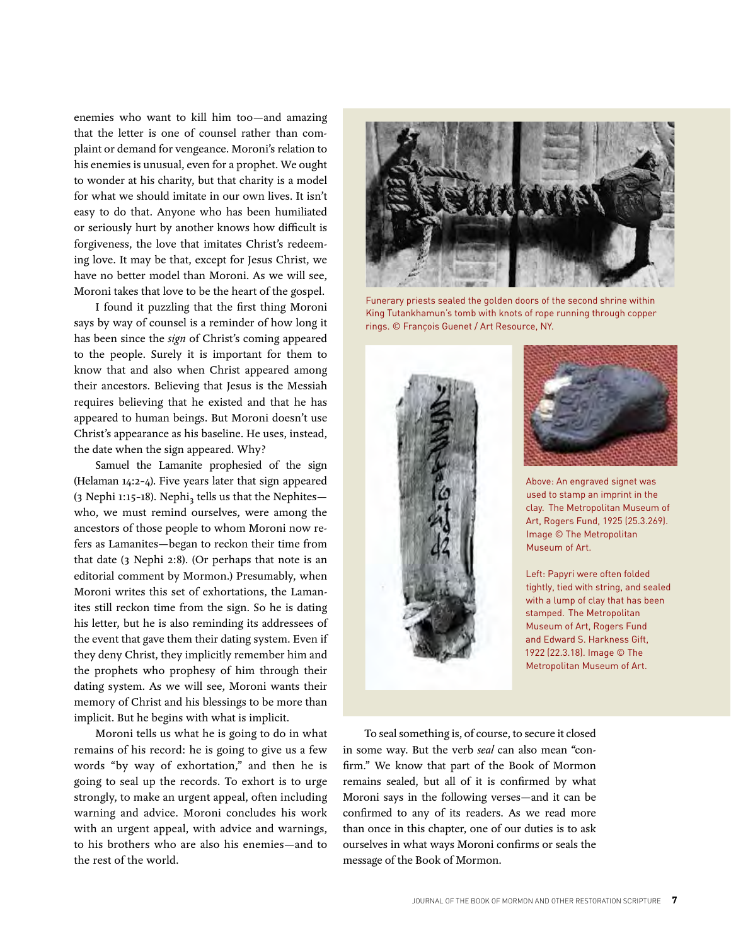enemies who want to kill him too—and amazing that the letter is one of counsel rather than complaint or demand for vengeance. Moroni's relation to his enemies is unusual, even for a prophet. We ought to wonder at his charity, but that charity is a model for what we should imitate in our own lives. It isn't easy to do that. Anyone who has been humiliated or seriously hurt by another knows how difficult is forgiveness, the love that imitates Christ's redeeming love. It may be that, except for Jesus Christ, we have no better model than Moroni. As we will see, Moroni takes that love to be the heart of the gospel.

I found it puzzling that the first thing Moroni says by way of counsel is a reminder of how long it has been since the *sign* of Christ's coming appeared to the people. Surely it is important for them to know that and also when Christ appeared among their ancestors. Believing that Jesus is the Messiah requires believing that he existed and that he has appeared to human beings. But Moroni doesn't use Christ's appearance as his baseline. He uses, instead, the date when the sign appeared. Why?

Samuel the Lamanite prophesied of the sign (Helaman 14:2–4). Five years later that sign appeared  $(3$  Nephi 1:15-18). Nephi<sub>3</sub> tells us that the Nephiteswho, we must remind ourselves, were among the ancestors of those people to whom Moroni now refers as Lamanites—began to reckon their time from that date (3 Nephi 2:8). (Or perhaps that note is an editorial comment by Mormon.) Presumably, when Moroni writes this set of exhortations, the Lamanites still reckon time from the sign. So he is dating his letter, but he is also reminding its addressees of the event that gave them their dating system. Even if they deny Christ, they implicitly remember him and the prophets who prophesy of him through their dating system. As we will see, Moroni wants their memory of Christ and his blessings to be more than implicit. But he begins with what is implicit.

Moroni tells us what he is going to do in what remains of his record: he is going to give us a few words "by way of exhortation," and then he is going to seal up the records. To exhort is to urge strongly, to make an urgent appeal, often including warning and advice. Moroni concludes his work with an urgent appeal, with advice and warnings, to his brothers who are also his enemies—and to the rest of the world.



Funerary priests sealed the golden doors of the second shrine within King Tutankhamun's tomb with knots of rope running through copper rings. © François Guenet / Art Resource, NY.





Above: An engraved signet was used to stamp an imprint in the clay. The Metropolitan Museum of Art, Rogers Fund, 1925 (25.3.269). Image © The Metropolitan Museum of Art.

Left: Papyri were often folded tightly, tied with string, and sealed with a lump of clay that has been stamped. The Metropolitan Museum of Art, Rogers Fund and Edward S. Harkness Gift, 1922 (22.3.18). Image © The Metropolitan Museum of Art.

To seal something is, of course, to secure it closed in some way. But the verb *seal* can also mean "confirm." We know that part of the Book of Mormon remains sealed, but all of it is confirmed by what Moroni says in the following verses—and it can be confirmed to any of its readers. As we read more than once in this chapter, one of our duties is to ask ourselves in what ways Moroni confirms or seals the message of the Book of Mormon.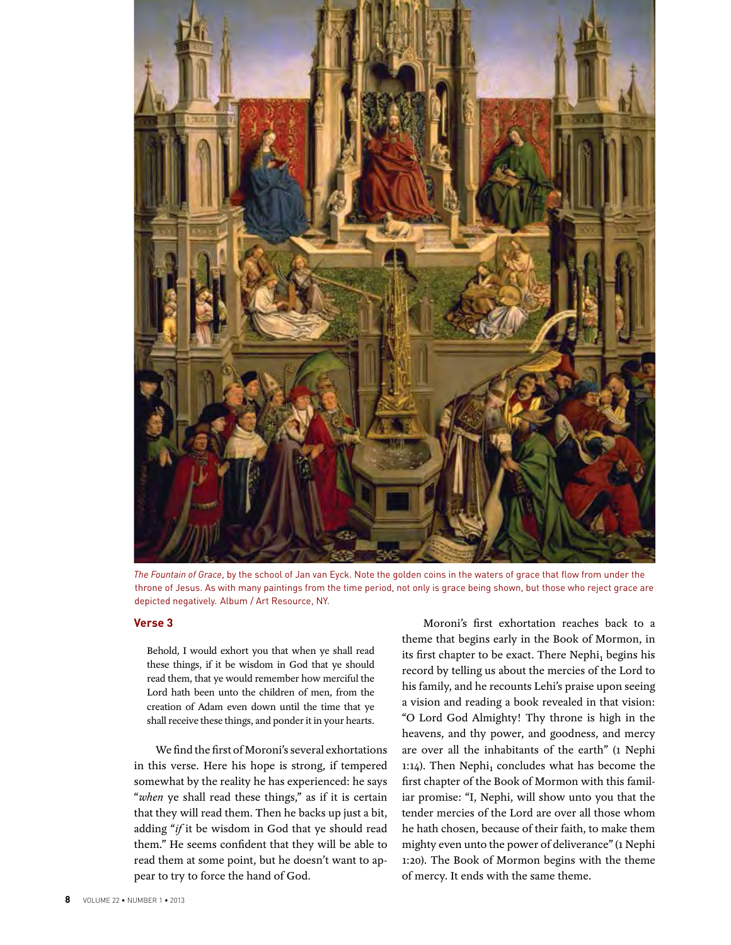

*The Fountain of Grace*, by the school of Jan van Eyck. Note the golden coins in the waters of grace that flow from under the throne of Jesus. As with many paintings from the time period, not only is grace being shown, but those who reject grace are depicted negatively. Album / Art Resource, NY.

#### **Verse 3**

Behold, I would exhort you that when ye shall read these things, if it be wisdom in God that ye should read them, that ye would remember how merciful the Lord hath been unto the children of men, from the creation of Adam even down until the time that ye shall receive these things, and ponder it in your hearts.

We find the first of Moroni's several exhortations in this verse. Here his hope is strong, if tempered somewhat by the reality he has experienced: he says "*when* ye shall read these things," as if it is certain that they will read them. Then he backs up just a bit, adding "*if* it be wisdom in God that ye should read them." He seems confident that they will be able to read them at some point, but he doesn't want to appear to try to force the hand of God.

Moroni's first exhortation reaches back to a theme that begins early in the Book of Mormon, in its first chapter to be exact. There  $Nephi<sub>1</sub>$  begins his record by telling us about the mercies of the Lord to his family, and he recounts Lehi's praise upon seeing a vision and reading a book revealed in that vision: "O Lord God Almighty! Thy throne is high in the heavens, and thy power, and goodness, and mercy are over all the inhabitants of the earth" (1 Nephi 1:14). Then  $Nephi<sub>1</sub>$  concludes what has become the first chapter of the Book of Mormon with this familiar promise: "I, Nephi, will show unto you that the tender mercies of the Lord are over all those whom he hath chosen, because of their faith, to make them mighty even unto the power of deliverance" (1 Nephi 1:20). The Book of Mormon begins with the theme of mercy. It ends with the same theme.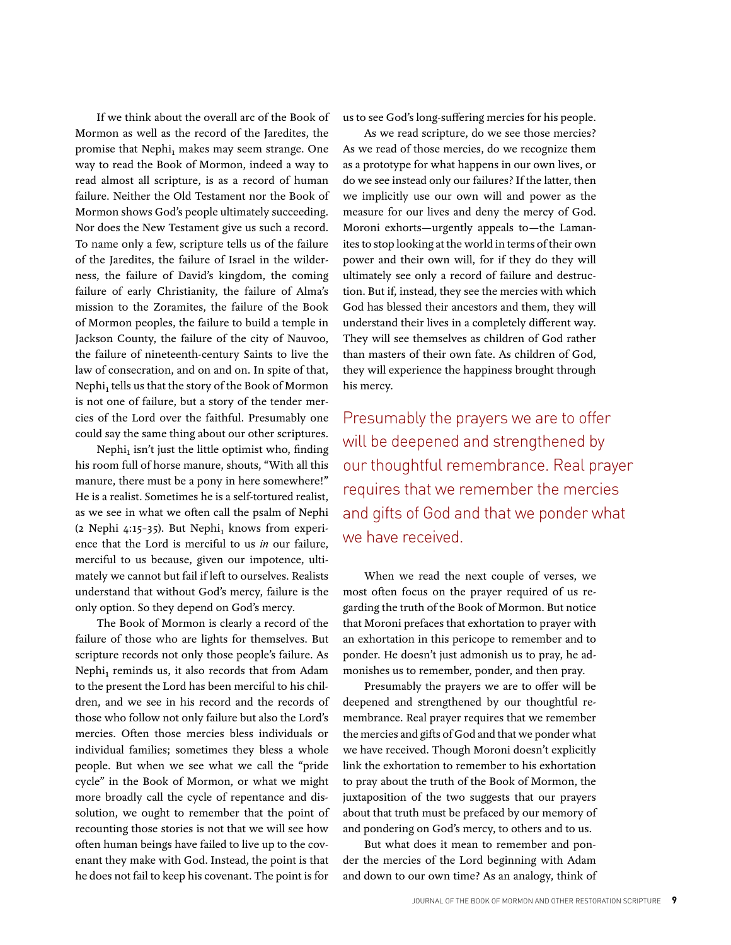If we think about the overall arc of the Book of Mormon as well as the record of the Jaredites, the promise that Nephi<sub>1</sub> makes may seem strange. One way to read the Book of Mormon, indeed a way to read almost all scripture, is as a record of human failure. Neither the Old Testament nor the Book of Mormon shows God's people ultimately succeeding. Nor does the New Testament give us such a record. To name only a few, scripture tells us of the failure of the Jaredites, the failure of Israel in the wilderness, the failure of David's kingdom, the coming failure of early Christianity, the failure of Alma's mission to the Zoramites, the failure of the Book of Mormon peoples, the failure to build a temple in Jackson County, the failure of the city of Nauvoo, the failure of nineteenth-century Saints to live the law of consecration, and on and on. In spite of that,  $Nephi<sub>1</sub>$  tells us that the story of the Book of Mormon is not one of failure, but a story of the tender mercies of the Lord over the faithful. Presumably one could say the same thing about our other scriptures.

Nephi<sub>1</sub> isn't just the little optimist who, finding his room full of horse manure, shouts, "With all this manure, there must be a pony in here somewhere!" He is a realist. Sometimes he is a self-tortured realist, as we see in what we often call the psalm of Nephi  $(2$  Nephi 4:15-35). But Nephi<sub>1</sub> knows from experience that the Lord is merciful to us *in* our failure, merciful to us because, given our impotence, ultimately we cannot but fail if left to ourselves. Realists understand that without God's mercy, failure is the only option. So they depend on God's mercy.

The Book of Mormon is clearly a record of the failure of those who are lights for themselves. But scripture records not only those people's failure. As Nephi<sub>1</sub> reminds us, it also records that from Adam to the present the Lord has been merciful to his children, and we see in his record and the records of those who follow not only failure but also the Lord's mercies. Often those mercies bless individuals or individual families; sometimes they bless a whole people. But when we see what we call the "pride cycle" in the Book of Mormon, or what we might more broadly call the cycle of repentance and dissolution, we ought to remember that the point of recounting those stories is not that we will see how often human beings have failed to live up to the covenant they make with God. Instead, the point is that he does not fail to keep his covenant. The point is for us to see God's long-suffering mercies for his people.

As we read scripture, do we see those mercies? As we read of those mercies, do we recognize them as a prototype for what happens in our own lives, or do we see instead only our failures? If the latter, then we implicitly use our own will and power as the measure for our lives and deny the mercy of God. Moroni exhorts—urgently appeals to—the Lamanites to stop looking at the world in terms of their own power and their own will, for if they do they will ultimately see only a record of failure and destruction. But if, instead, they see the mercies with which God has blessed their ancestors and them, they will understand their lives in a completely different way. They will see themselves as children of God rather than masters of their own fate. As children of God, they will experience the happiness brought through his mercy.

Presumably the prayers we are to offer will be deepened and strengthened by our thoughtful remembrance. Real prayer requires that we remember the mercies and gifts of God and that we ponder what we have received.

When we read the next couple of verses, we most often focus on the prayer required of us regarding the truth of the Book of Mormon. But notice that Moroni prefaces that exhortation to prayer with an exhortation in this pericope to remember and to ponder. He doesn't just admonish us to pray, he admonishes us to remember, ponder, and then pray.

Presumably the prayers we are to offer will be deepened and strengthened by our thoughtful remembrance. Real prayer requires that we remember the mercies and gifts of God and that we ponder what we have received. Though Moroni doesn't explicitly link the exhortation to remember to his exhortation to pray about the truth of the Book of Mormon, the juxtaposition of the two suggests that our prayers about that truth must be prefaced by our memory of and pondering on God's mercy, to others and to us.

But what does it mean to remember and ponder the mercies of the Lord beginning with Adam and down to our own time? As an analogy, think of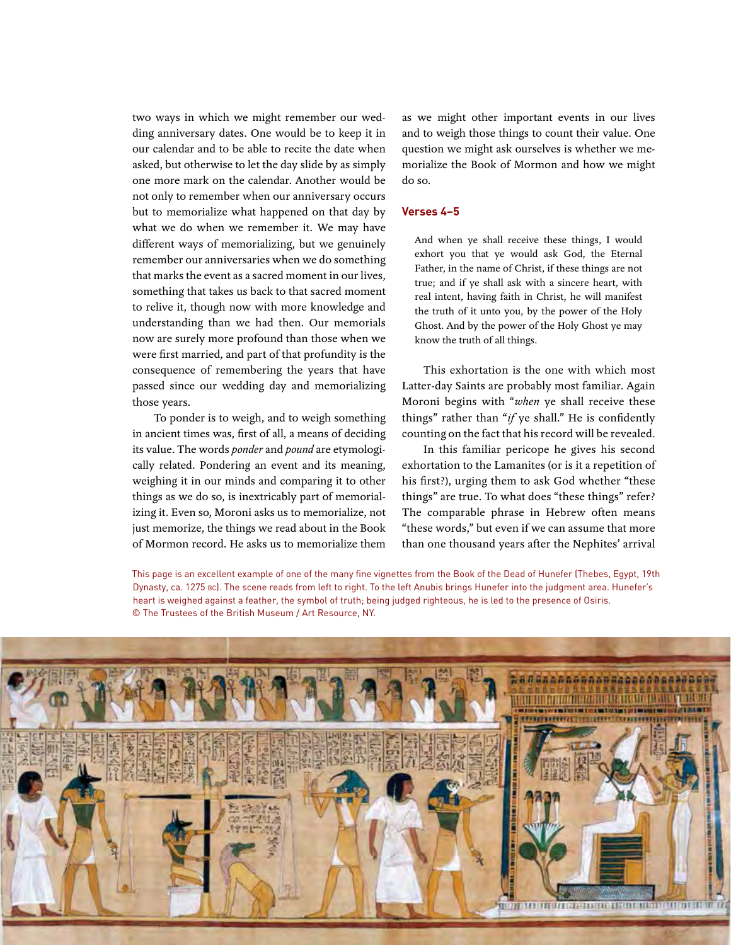two ways in which we might remember our wedding anniversary dates. One would be to keep it in our calendar and to be able to recite the date when asked, but otherwise to let the day slide by as simply one more mark on the calendar. Another would be not only to remember when our anniversary occurs but to memorialize what happened on that day by what we do when we remember it. We may have different ways of memorializing, but we genuinely remember our anniversaries when we do something that marks the event as a sacred moment in our lives, something that takes us back to that sacred moment to relive it, though now with more knowledge and understanding than we had then. Our memorials now are surely more profound than those when we were first married, and part of that profundity is the consequence of remembering the years that have passed since our wedding day and memorializing those years.

To ponder is to weigh, and to weigh something in ancient times was, first of all, a means of deciding its value. The words *ponder* and *pound* are etymologically related. Pondering an event and its meaning, weighing it in our minds and comparing it to other things as we do so, is inextricably part of memorializing it. Even so, Moroni asks us to memorialize, not just memorize, the things we read about in the Book of Mormon record. He asks us to memorialize them as we might other important events in our lives and to weigh those things to count their value. One question we might ask ourselves is whether we memorialize the Book of Mormon and how we might do so.

#### **Verses 4–5**

And when ye shall receive these things, I would exhort you that ye would ask God, the Eternal Father, in the name of Christ, if these things are not true; and if ye shall ask with a sincere heart, with real intent, having faith in Christ, he will manifest the truth of it unto you, by the power of the Holy Ghost. And by the power of the Holy Ghost ye may know the truth of all things.

This exhortation is the one with which most Latter-day Saints are probably most familiar. Again Moroni begins with "*when* ye shall receive these things" rather than "*if* ye shall." He is confidently counting on the fact that his record will be revealed.

In this familiar pericope he gives his second exhortation to the Lamanites (or is it a repetition of his first?), urging them to ask God whether "these things" are true. To what does "these things" refer? The comparable phrase in Hebrew often means "these words," but even if we can assume that more than one thousand years after the Nephites' arrival

This page is an excellent example of one of the many fine vignettes from the Book of the Dead of Hunefer (Thebes, Egypt, 19th Dynasty, ca. 1275 bc). The scene reads from left to right. To the left Anubis brings Hunefer into the judgment area. Hunefer's heart is weighed against a feather, the symbol of truth; being judged righteous, he is led to the presence of Osiris. © The Trustees of the British Museum / Art Resource, NY.

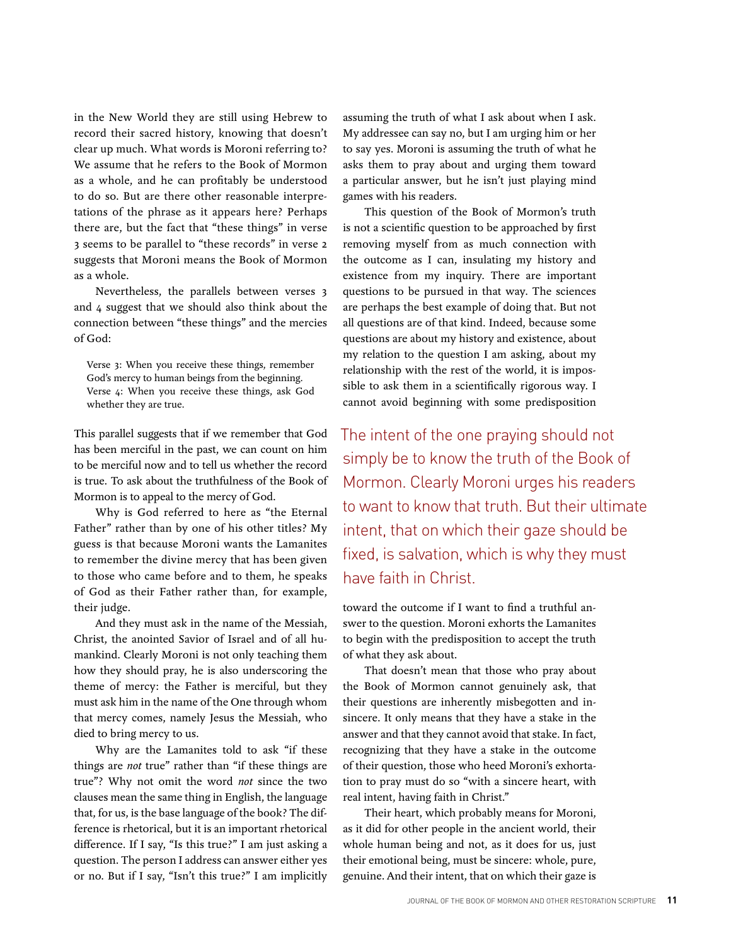in the New World they are still using Hebrew to record their sacred history, knowing that doesn't clear up much. What words is Moroni referring to? We assume that he refers to the Book of Mormon as a whole, and he can profitably be understood to do so. But are there other reasonable interpretations of the phrase as it appears here? Perhaps there are, but the fact that "these things" in verse 3 seems to be parallel to "these records" in verse 2 suggests that Moroni means the Book of Mormon as a whole.

Nevertheless, the parallels between verses 3 and 4 suggest that we should also think about the connection between "these things" and the mercies of God:

Verse 3: When you receive these things, remember God's mercy to human beings from the beginning. Verse 4: When you receive these things, ask God whether they are true.

This parallel suggests that if we remember that God has been merciful in the past, we can count on him to be merciful now and to tell us whether the record is true. To ask about the truthfulness of the Book of Mormon is to appeal to the mercy of God.

Why is God referred to here as "the Eternal Father" rather than by one of his other titles? My guess is that because Moroni wants the Lamanites to remember the divine mercy that has been given to those who came before and to them, he speaks of God as their Father rather than, for example, their judge.

And they must ask in the name of the Messiah, Christ, the anointed Savior of Israel and of all humankind. Clearly Moroni is not only teaching them how they should pray, he is also underscoring the theme of mercy: the Father is merciful, but they must ask him in the name of the One through whom that mercy comes, namely Jesus the Messiah, who died to bring mercy to us.

Why are the Lamanites told to ask "if these things are *not* true" rather than "if these things are true"? Why not omit the word *not* since the two clauses mean the same thing in English, the language that, for us, is the base language of the book? The difference is rhetorical, but it is an important rhetorical difference. If I say, "Is this true?" I am just asking a question. The person I address can answer either yes or no. But if I say, "Isn't this true?" I am implicitly assuming the truth of what I ask about when I ask. My addressee can say no, but I am urging him or her to say yes. Moroni is assuming the truth of what he asks them to pray about and urging them toward a particular answer, but he isn't just playing mind games with his readers.

This question of the Book of Mormon's truth is not a scientific question to be approached by first removing myself from as much connection with the outcome as I can, insulating my history and existence from my inquiry. There are important questions to be pursued in that way. The sciences are perhaps the best example of doing that. But not all questions are of that kind. Indeed, because some questions are about my history and existence, about my relation to the question I am asking, about my relationship with the rest of the world, it is impossible to ask them in a scientifically rigorous way. I cannot avoid beginning with some predisposition

The intent of the one praying should not simply be to know the truth of the Book of Mormon. Clearly Moroni urges his readers to want to know that truth. But their ultimate intent, that on which their gaze should be fixed, is salvation, which is why they must have faith in Christ.

toward the outcome if I want to find a truthful answer to the question. Moroni exhorts the Lamanites to begin with the predisposition to accept the truth of what they ask about.

That doesn't mean that those who pray about the Book of Mormon cannot genuinely ask, that their questions are inherently misbegotten and insincere. It only means that they have a stake in the answer and that they cannot avoid that stake. In fact, recognizing that they have a stake in the outcome of their question, those who heed Moroni's exhortation to pray must do so "with a sincere heart, with real intent, having faith in Christ."

Their heart, which probably means for Moroni, as it did for other people in the ancient world, their whole human being and not, as it does for us, just their emotional being, must be sincere: whole, pure, genuine. And their intent, that on which their gaze is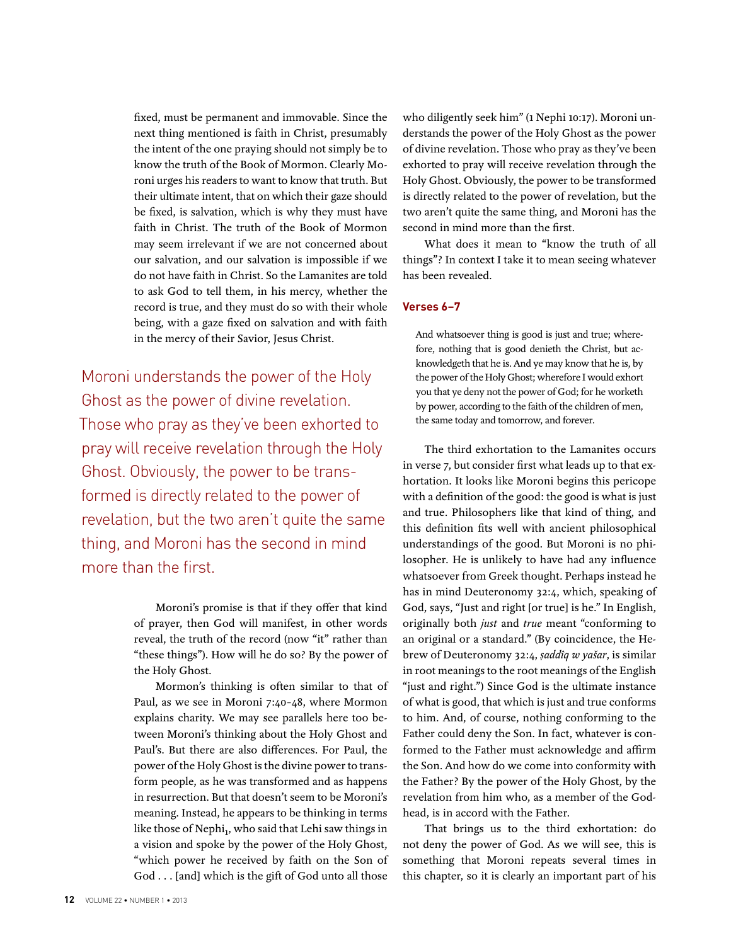fixed, must be permanent and immovable. Since the next thing mentioned is faith in Christ, presumably the intent of the one praying should not simply be to know the truth of the Book of Mormon. Clearly Moroni urges his readers to want to know that truth. But their ultimate intent, that on which their gaze should be fixed, is salvation, which is why they must have faith in Christ. The truth of the Book of Mormon may seem irrelevant if we are not concerned about our salvation, and our salvation is impossible if we do not have faith in Christ. So the Lamanites are told to ask God to tell them, in his mercy, whether the record is true, and they must do so with their whole being, with a gaze fixed on salvation and with faith in the mercy of their Savior, Jesus Christ.

Moroni understands the power of the Holy Ghost as the power of divine revelation. Those who pray as they've been exhorted to pray will receive revelation through the Holy Ghost. Obviously, the power to be transformed is directly related to the power of revelation, but the two aren't quite the same thing, and Moroni has the second in mind more than the first.

> Moroni's promise is that if they offer that kind of prayer, then God will manifest, in other words reveal, the truth of the record (now "it" rather than "these things"). How will he do so? By the power of the Holy Ghost.

> Mormon's thinking is often similar to that of Paul, as we see in Moroni 7:40–48, where Mormon explains charity. We may see parallels here too between Moroni's thinking about the Holy Ghost and Paul's. But there are also differences. For Paul, the power of the Holy Ghost is the divine power to transform people, as he was transformed and as happens in resurrection. But that doesn't seem to be Moroni's meaning. Instead, he appears to be thinking in terms like those of Nephi<sub>1</sub>, who said that Lehi saw things in a vision and spoke by the power of the Holy Ghost, "which power he received by faith on the Son of God . . . [and] which is the gift of God unto all those

who diligently seek him" (1 Nephi 10:17). Moroni understands the power of the Holy Ghost as the power of divine revelation. Those who pray as they've been exhorted to pray will receive revelation through the Holy Ghost. Obviously, the power to be transformed is directly related to the power of revelation, but the two aren't quite the same thing, and Moroni has the second in mind more than the first.

What does it mean to "know the truth of all things"? In context I take it to mean seeing whatever has been revealed.

### **Verses 6–7**

And whatsoever thing is good is just and true; wherefore, nothing that is good denieth the Christ, but acknowledgeth that he is. And ye may know that he is, by the power of the Holy Ghost; wherefore I would exhort you that ye deny not the power of God; for he worketh by power, according to the faith of the children of men, the same today and tomorrow, and forever.

The third exhortation to the Lamanites occurs in verse 7, but consider first what leads up to that exhortation. It looks like Moroni begins this pericope with a definition of the good: the good is what is just and true. Philosophers like that kind of thing, and this definition fits well with ancient philosophical understandings of the good. But Moroni is no philosopher. He is unlikely to have had any influence whatsoever from Greek thought. Perhaps instead he has in mind Deuteronomy 32:4, which, speaking of God, says, "Just and right [or true] is he." In English, originally both *just* and *true* meant "conforming to an original or a standard." (By coincidence, the Hebrew of Deuteronomy 32:4, *ṣaddîq w yašar*, is similar in root meanings to the root meanings of the English "just and right.") Since God is the ultimate instance of what is good, that which is just and true conforms to him. And, of course, nothing conforming to the Father could deny the Son. In fact, whatever is conformed to the Father must acknowledge and affirm the Son. And how do we come into conformity with the Father? By the power of the Holy Ghost, by the revelation from him who, as a member of the Godhead, is in accord with the Father.

That brings us to the third exhortation: do not deny the power of God. As we will see, this is something that Moroni repeats several times in this chapter, so it is clearly an important part of his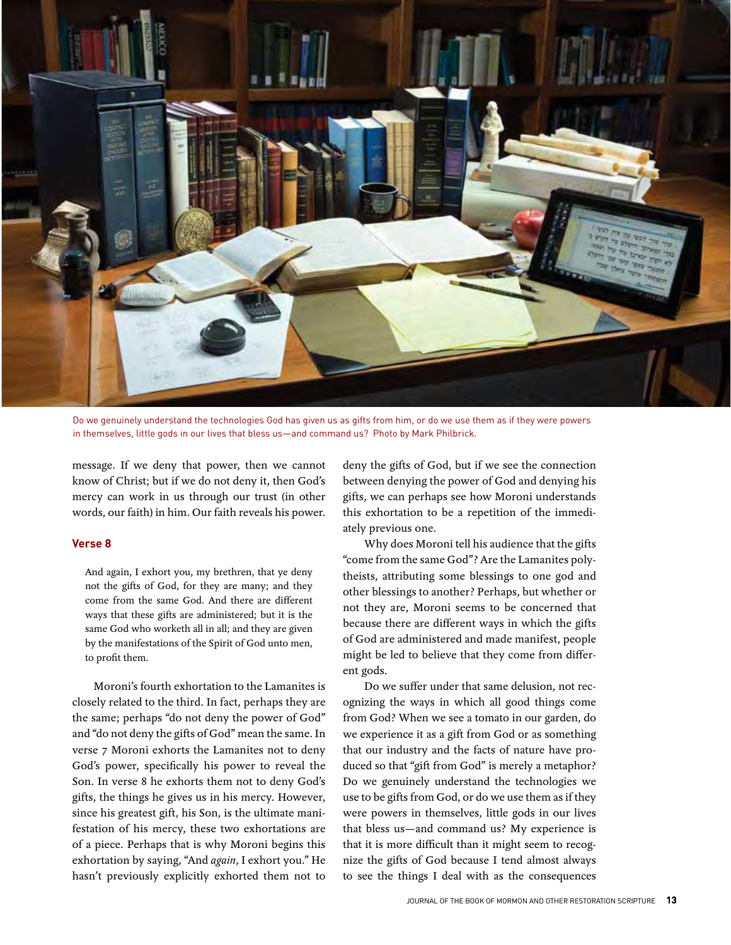

Do we genuinely understand the technologies God has given us as gifts from him, or do we use them as if they were powers in themselves, little gods in our lives that bless us—and command us? Photo by Mark Philbrick.

message. If we deny that power, then we cannot know of Christ; but if we do not deny it, then God's mercy can work in us through our trust (in other words, our faith) in him. Our faith reveals his power.

### **Verse 8**

And again, I exhort you, my brethren, that ye deny not the gifts of God, for they are many; and they come from the same God. And there are different ways that these gifts are administered; but it is the same God who worketh all in all; and they are given by the manifestations of the Spirit of God unto men, to profit them.

Moroni's fourth exhortation to the Lamanites is closely related to the third. In fact, perhaps they are the same; perhaps "do not deny the power of God" and "do not deny the gifts of God" mean the same. In verse 7 Moroni exhorts the Lamanites not to deny God's power, specifically his power to reveal the Son. In verse 8 he exhorts them not to deny God's gifts, the things he gives us in his mercy. However, since his greatest gift, his Son, is the ultimate manifestation of his mercy, these two exhortations are of a piece. Perhaps that is why Moroni begins this exhortation by saying, "And *again*, I exhort you." He hasn't previously explicitly exhorted them not to

deny the gifts of God, but if we see the connection between denying the power of God and denying his gifts, we can perhaps see how Moroni understands this exhortation to be a repetition of the immediately previous one.

Why does Moroni tell his audience that the gifts "come from the same God"? Are the Lamanites polytheists, attributing some blessings to one god and other blessings to another? Perhaps, but whether or not they are, Moroni seems to be concerned that because there are different ways in which the gifts of God are administered and made manifest, people might be led to believe that they come from different gods.

Do we suffer under that same delusion, not recognizing the ways in which all good things come from God? When we see a tomato in our garden, do we experience it as a gift from God or as something that our industry and the facts of nature have produced so that "gift from God" is merely a metaphor? Do we genuinely understand the technologies we use to be gifts from God, or do we use them as if they were powers in themselves, little gods in our lives that bless us—and command us? My experience is that it is more difficult than it might seem to recognize the gifts of God because I tend almost always to see the things I deal with as the consequences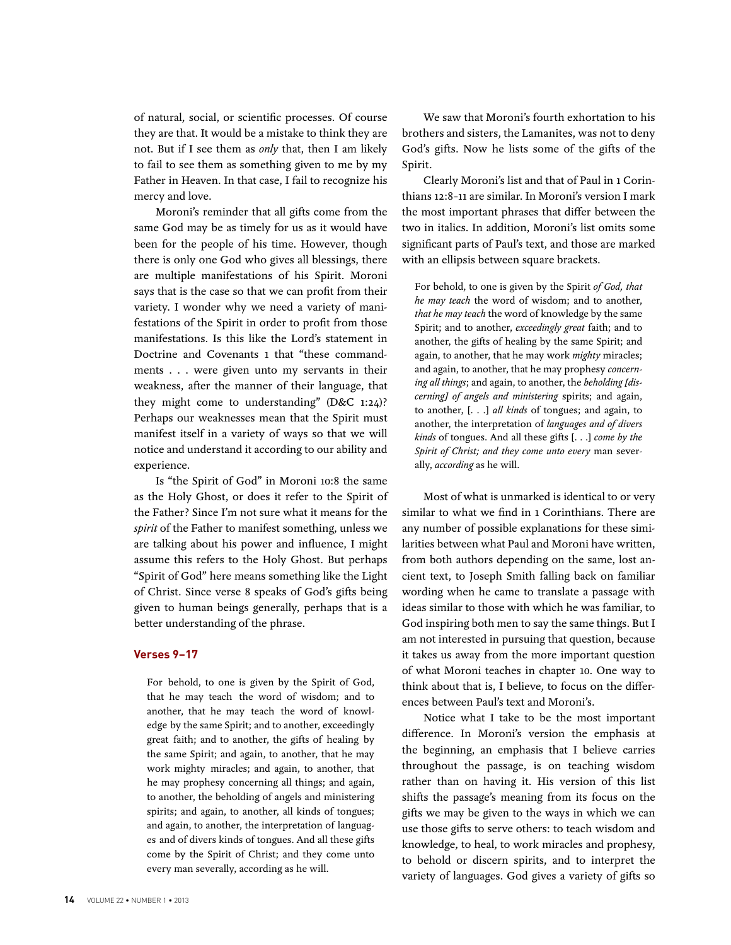of natural, social, or scientific processes. Of course they are that. It would be a mistake to think they are not. But if I see them as *only* that, then I am likely to fail to see them as something given to me by my Father in Heaven. In that case, I fail to recognize his mercy and love.

Moroni's reminder that all gifts come from the same God may be as timely for us as it would have been for the people of his time. However, though there is only one God who gives all blessings, there are multiple manifestations of his Spirit. Moroni says that is the case so that we can profit from their variety. I wonder why we need a variety of manifestations of the Spirit in order to profit from those manifestations. Is this like the Lord's statement in Doctrine and Covenants 1 that "these commandments . . . were given unto my servants in their weakness, after the manner of their language, that they might come to understanding" (D&C 1:24)? Perhaps our weaknesses mean that the Spirit must manifest itself in a variety of ways so that we will notice and understand it according to our ability and experience.

Is "the Spirit of God" in Moroni 10:8 the same as the Holy Ghost, or does it refer to the Spirit of the Father? Since I'm not sure what it means for the *spirit* of the Father to manifest something, unless we are talking about his power and influence, I might assume this refers to the Holy Ghost. But perhaps "Spirit of God" here means something like the Light of Christ. Since verse 8 speaks of God's gifts being given to human beings generally, perhaps that is a better understanding of the phrase.

#### **Verses 9–17**

For behold, to one is given by the Spirit of God, that he may teach the word of wisdom; and to another, that he may teach the word of knowledge by the same Spirit; and to another, exceedingly great faith; and to another, the gifts of healing by the same Spirit; and again, to another, that he may work mighty miracles; and again, to another, that he may prophesy concerning all things; and again, to another, the beholding of angels and ministering spirits; and again, to another, all kinds of tongues; and again, to another, the interpretation of languages and of divers kinds of tongues. And all these gifts come by the Spirit of Christ; and they come unto every man severally, according as he will.

We saw that Moroni's fourth exhortation to his brothers and sisters, the Lamanites, was not to deny God's gifts. Now he lists some of the gifts of the Spirit.

Clearly Moroni's list and that of Paul in 1 Corinthians 12:8–11 are similar. In Moroni's version I mark the most important phrases that differ between the two in italics. In addition, Moroni's list omits some significant parts of Paul's text, and those are marked with an ellipsis between square brackets.

For behold, to one is given by the Spirit *of God, that he may teach* the word of wisdom; and to another, *that he may teach* the word of knowledge by the same Spirit; and to another, *exceedingly great* faith; and to another, the gifts of healing by the same Spirit; and again, to another, that he may work *mighty* miracles; and again, to another, that he may prophesy *concerning all things*; and again, to another, the *beholding [discerning] of angels and ministering* spirits; and again, to another, [. . .] *all kinds* of tongues; and again, to another, the interpretation of *languages and of divers kinds* of tongues. And all these gifts [. . .] *come by the Spirit of Christ; and they come unto every* man severally, *according* as he will.

Most of what is unmarked is identical to or very similar to what we find in 1 Corinthians. There are any number of possible explanations for these similarities between what Paul and Moroni have written, from both authors depending on the same, lost ancient text, to Joseph Smith falling back on familiar wording when he came to translate a passage with ideas similar to those with which he was familiar, to God inspiring both men to say the same things. But I am not interested in pursuing that question, because it takes us away from the more important question of what Moroni teaches in chapter 10. One way to think about that is, I believe, to focus on the differences between Paul's text and Moroni's.

Notice what I take to be the most important difference. In Moroni's version the emphasis at the beginning, an emphasis that I believe carries throughout the passage, is on teaching wisdom rather than on having it. His version of this list shifts the passage's meaning from its focus on the gifts we may be given to the ways in which we can use those gifts to serve others: to teach wisdom and knowledge, to heal, to work miracles and prophesy, to behold or discern spirits, and to interpret the variety of languages. God gives a variety of gifts so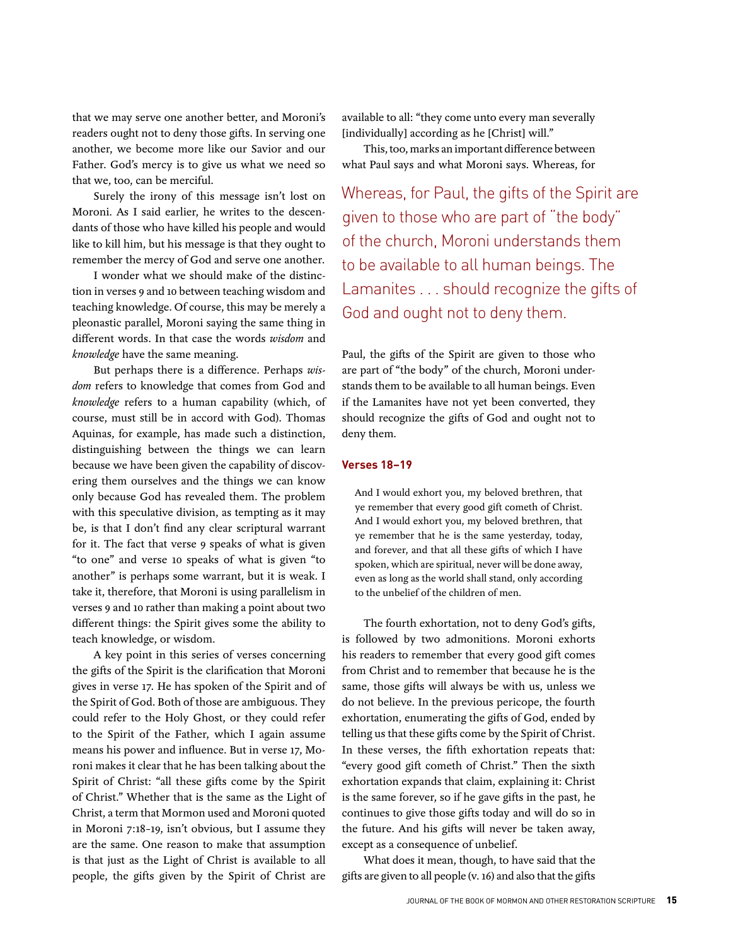that we may serve one another better, and Moroni's readers ought not to deny those gifts. In serving one another, we become more like our Savior and our Father. God's mercy is to give us what we need so that we, too, can be merciful.

Surely the irony of this message isn't lost on Moroni. As I said earlier, he writes to the descendants of those who have killed his people and would like to kill him, but his message is that they ought to remember the mercy of God and serve one another.

I wonder what we should make of the distinction in verses 9 and 10 between teaching wisdom and teaching knowledge. Of course, this may be merely a pleonastic parallel, Moroni saying the same thing in different words. In that case the words *wisdom* and *knowledge* have the same meaning.

But perhaps there is a difference. Perhaps *wisdom* refers to knowledge that comes from God and *knowledge* refers to a human capability (which, of course, must still be in accord with God). Thomas Aquinas, for example, has made such a distinction, distinguishing between the things we can learn because we have been given the capability of discovering them ourselves and the things we can know only because God has revealed them. The problem with this speculative division, as tempting as it may be, is that I don't find any clear scriptural warrant for it. The fact that verse 9 speaks of what is given "to one" and verse 10 speaks of what is given "to another" is perhaps some warrant, but it is weak. I take it, therefore, that Moroni is using parallelism in verses 9 and 10 rather than making a point about two different things: the Spirit gives some the ability to teach knowledge, or wisdom.

A key point in this series of verses concerning the gifts of the Spirit is the clarification that Moroni gives in verse 17. He has spoken of the Spirit and of the Spirit of God. Both of those are ambiguous. They could refer to the Holy Ghost, or they could refer to the Spirit of the Father, which I again assume means his power and influence. But in verse 17, Moroni makes it clear that he has been talking about the Spirit of Christ: "all these gifts come by the Spirit of Christ." Whether that is the same as the Light of Christ, a term that Mormon used and Moroni quoted in Moroni 7:18–19, isn't obvious, but I assume they are the same. One reason to make that assumption is that just as the Light of Christ is available to all people, the gifts given by the Spirit of Christ are

available to all: "they come unto every man severally [individually] according as he [Christ] will."

This, too, marks an important difference between what Paul says and what Moroni says. Whereas, for

Whereas, for Paul, the gifts of the Spirit are given to those who are part of "the body" of the church, Moroni understands them to be available to all human beings. The Lamanites . . . should recognize the gifts of God and ought not to deny them.

Paul, the gifts of the Spirit are given to those who are part of "the body" of the church, Moroni understands them to be available to all human beings. Even if the Lamanites have not yet been converted, they should recognize the gifts of God and ought not to deny them.

#### **Verses 18–19**

And I would exhort you, my beloved brethren, that ye remember that every good gift cometh of Christ. And I would exhort you, my beloved brethren, that ye remember that he is the same yesterday, today, and forever, and that all these gifts of which I have spoken, which are spiritual, never will be done away, even as long as the world shall stand, only according to the unbelief of the children of men.

The fourth exhortation, not to deny God's gifts, is followed by two admonitions. Moroni exhorts his readers to remember that every good gift comes from Christ and to remember that because he is the same, those gifts will always be with us, unless we do not believe. In the previous pericope, the fourth exhortation, enumerating the gifts of God, ended by telling us that these gifts come by the Spirit of Christ. In these verses, the fifth exhortation repeats that: "every good gift cometh of Christ." Then the sixth exhortation expands that claim, explaining it: Christ is the same forever, so if he gave gifts in the past, he continues to give those gifts today and will do so in the future. And his gifts will never be taken away, except as a consequence of unbelief.

What does it mean, though, to have said that the gifts are given to all people (v. 16) and also that the gifts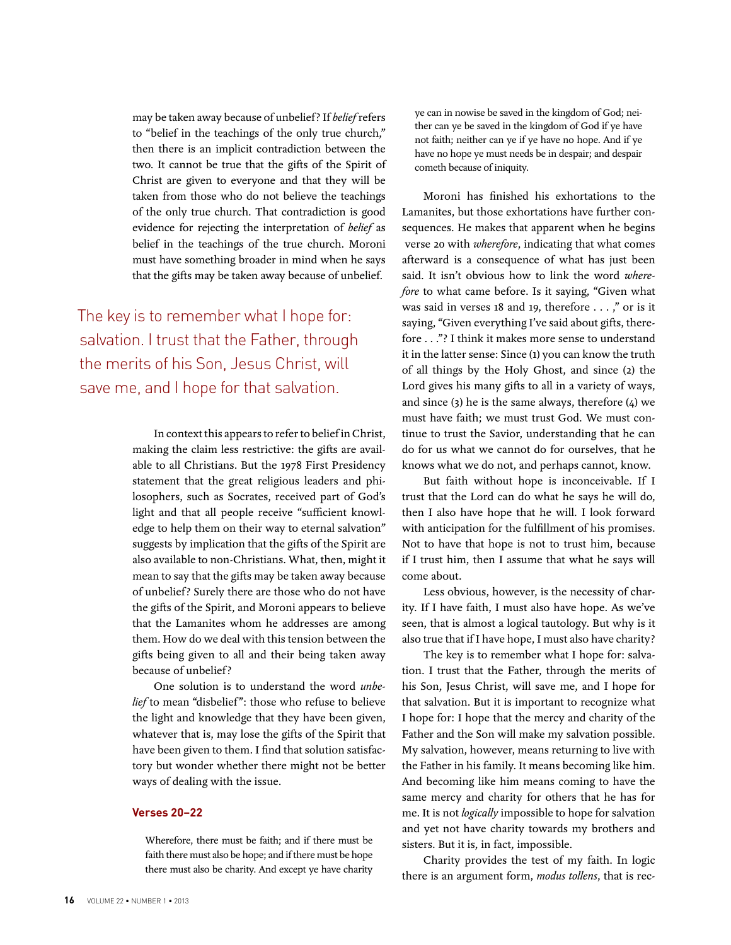may be taken away because of unbelief? If *belief* refers to "belief in the teachings of the only true church," then there is an implicit contradiction between the two. It cannot be true that the gifts of the Spirit of Christ are given to everyone and that they will be taken from those who do not believe the teachings of the only true church. That contradiction is good evidence for rejecting the interpretation of *belief* as belief in the teachings of the true church. Moroni must have something broader in mind when he says that the gifts may be taken away because of unbelief.

The key is to remember what I hope for: salvation. I trust that the Father, through the merits of his Son, Jesus Christ, will save me, and I hope for that salvation.

> In context this appears to refer to belief in Christ, making the claim less restrictive: the gifts are available to all Christians. But the 1978 First Presidency statement that the great religious leaders and philosophers, such as Socrates, received part of God's light and that all people receive "sufficient knowledge to help them on their way to eternal salvation" suggests by implication that the gifts of the Spirit are also available to non-Christians. What, then, might it mean to say that the gifts may be taken away because of unbelief? Surely there are those who do not have the gifts of the Spirit, and Moroni appears to believe that the Lamanites whom he addresses are among them. How do we deal with this tension between the gifts being given to all and their being taken away because of unbelief?

> One solution is to understand the word *unbe*lief to mean "disbelief": those who refuse to believe the light and knowledge that they have been given, whatever that is, may lose the gifts of the Spirit that have been given to them. I find that solution satisfactory but wonder whether there might not be better ways of dealing with the issue.

#### **Verses 20–22**

Wherefore, there must be faith; and if there must be faith there must also be hope; and if there must be hope there must also be charity. And except ye have charity

ye can in nowise be saved in the kingdom of God; neither can ye be saved in the kingdom of God if ye have not faith; neither can ye if ye have no hope. And if ye have no hope ye must needs be in despair; and despair cometh because of iniquity.

Moroni has finished his exhortations to the Lamanites, but those exhortations have further consequences. He makes that apparent when he begins verse 20 with *wherefore*, indicating that what comes afterward is a consequence of what has just been said. It isn't obvious how to link the word *wherefore* to what came before. Is it saying, "Given what was said in verses 18 and 19, therefore . . . ," or is it saying, "Given everything I've said about gifts, therefore . . ."? I think it makes more sense to understand it in the latter sense: Since (1) you can know the truth of all things by the Holy Ghost, and since (2) the Lord gives his many gifts to all in a variety of ways, and since (3) he is the same always, therefore  $(4)$  we must have faith; we must trust God. We must continue to trust the Savior, understanding that he can do for us what we cannot do for ourselves, that he knows what we do not, and perhaps cannot, know.

But faith without hope is inconceivable. If I trust that the Lord can do what he says he will do, then I also have hope that he will. I look forward with anticipation for the fulfillment of his promises. Not to have that hope is not to trust him, because if I trust him, then I assume that what he says will come about.

Less obvious, however, is the necessity of charity. If I have faith, I must also have hope. As we've seen, that is almost a logical tautology. But why is it also true that if I have hope, I must also have charity?

The key is to remember what I hope for: salvation. I trust that the Father, through the merits of his Son, Jesus Christ, will save me, and I hope for that salvation. But it is important to recognize what I hope for: I hope that the mercy and charity of the Father and the Son will make my salvation possible. My salvation, however, means returning to live with the Father in his family. It means becoming like him. And becoming like him means coming to have the same mercy and charity for others that he has for me. It is not *logically* impossible to hope for salvation and yet not have charity towards my brothers and sisters. But it is, in fact, impossible.

Charity provides the test of my faith. In logic there is an argument form, *modus tollens*, that is rec-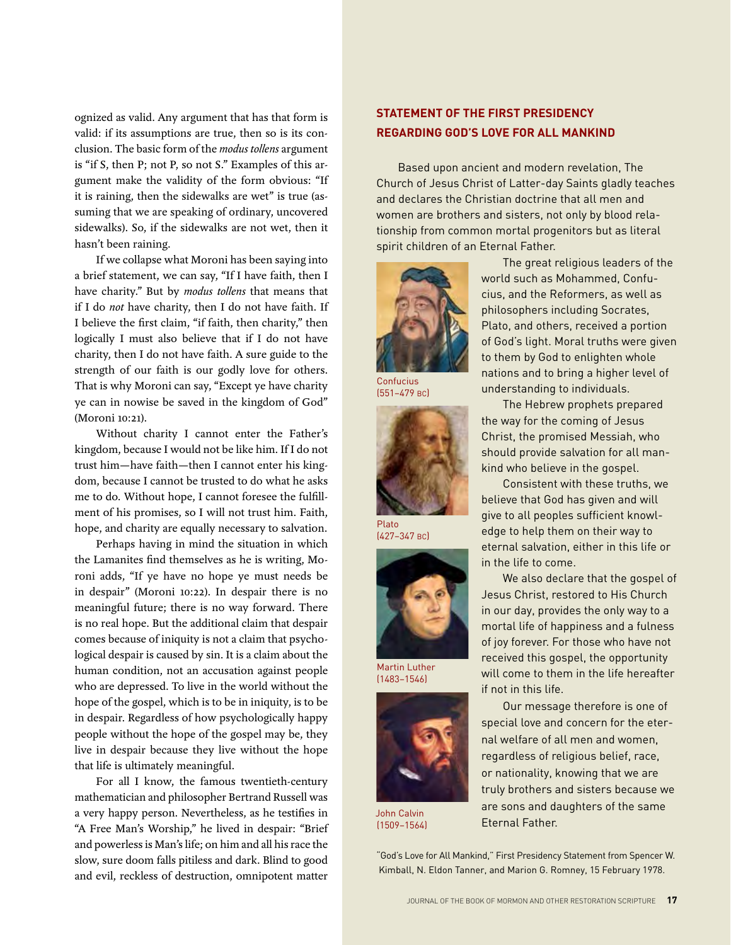ognized as valid. Any argument that has that form is valid: if its assumptions are true, then so is its conclusion. The basic form of the *modus tollens* argument is "if S, then P; not P, so not S." Examples of this argument make the validity of the form obvious: "If it is raining, then the sidewalks are wet" is true (assuming that we are speaking of ordinary, uncovered sidewalks). So, if the sidewalks are not wet, then it hasn't been raining.

If we collapse what Moroni has been saying into a brief statement, we can say, "If I have faith, then I have charity." But by *modus tollens* that means that if I do *not* have charity, then I do not have faith. If I believe the first claim, "if faith, then charity," then logically I must also believe that if I do not have charity, then I do not have faith. A sure guide to the strength of our faith is our godly love for others. That is why Moroni can say, "Except ye have charity ye can in nowise be saved in the kingdom of God" (Moroni 10:21).

Without charity I cannot enter the Father's kingdom, because I would not be like him. If I do not trust him—have faith—then I cannot enter his kingdom, because I cannot be trusted to do what he asks me to do. Without hope, I cannot foresee the fulfillment of his promises, so I will not trust him. Faith, hope, and charity are equally necessary to salvation.

Perhaps having in mind the situation in which the Lamanites find themselves as he is writing, Moroni adds, "If ye have no hope ye must needs be in despair" (Moroni 10:22). In despair there is no meaningful future; there is no way forward. There is no real hope. But the additional claim that despair comes because of iniquity is not a claim that psychological despair is caused by sin. It is a claim about the human condition, not an accusation against people who are depressed. To live in the world without the hope of the gospel, which is to be in iniquity, is to be in despair. Regardless of how psychologically happy people without the hope of the gospel may be, they live in despair because they live without the hope that life is ultimately meaningful.

For all I know, the famous twentieth-century mathematician and philosopher Bertrand Russell was a very happy person. Nevertheless, as he testifies in "A Free Man's Worship," he lived in despair: "Brief and powerless is Man's life; on him and all his race the slow, sure doom falls pitiless and dark. Blind to good and evil, reckless of destruction, omnipotent matter

# **STATEMENT OF THE FIRST PRESIDENCY REGARDING GOD'S LOVE FOR ALL MANKIND**

Based upon ancient and modern revelation, The Church of Jesus Christ of Latter-day Saints gladly teaches and declares the Christian doctrine that all men and women are brothers and sisters, not only by blood relationship from common mortal progenitors but as literal spirit children of an Eternal Father.



Confucius (551–479 bc)



Plato (427–347 bc)



Martin Luther (1483–1546)



John Calvin (1509–1564)

The great religious leaders of the world such as Mohammed, Confucius, and the Reformers, as well as philosophers including Socrates, Plato, and others, received a portion of God's light. Moral truths were given to them by God to enlighten whole nations and to bring a higher level of understanding to individuals.

The Hebrew prophets prepared the way for the coming of Jesus Christ, the promised Messiah, who should provide salvation for all mankind who believe in the gospel.

Consistent with these truths, we believe that God has given and will give to all peoples sufficient knowledge to help them on their way to eternal salvation, either in this life or in the life to come.

We also declare that the gospel of Jesus Christ, restored to His Church in our day, provides the only way to a mortal life of happiness and a fulness of joy forever. For those who have not received this gospel, the opportunity will come to them in the life hereafter if not in this life.

Our message therefore is one of special love and concern for the eternal welfare of all men and women, regardless of religious belief, race, or nationality, knowing that we are truly brothers and sisters because we are sons and daughters of the same Eternal Father.

"God's Love for All Mankind," First Presidency Statement from Spencer W. Kimball, N. Eldon Tanner, and Marion G. Romney, 15 February 1978.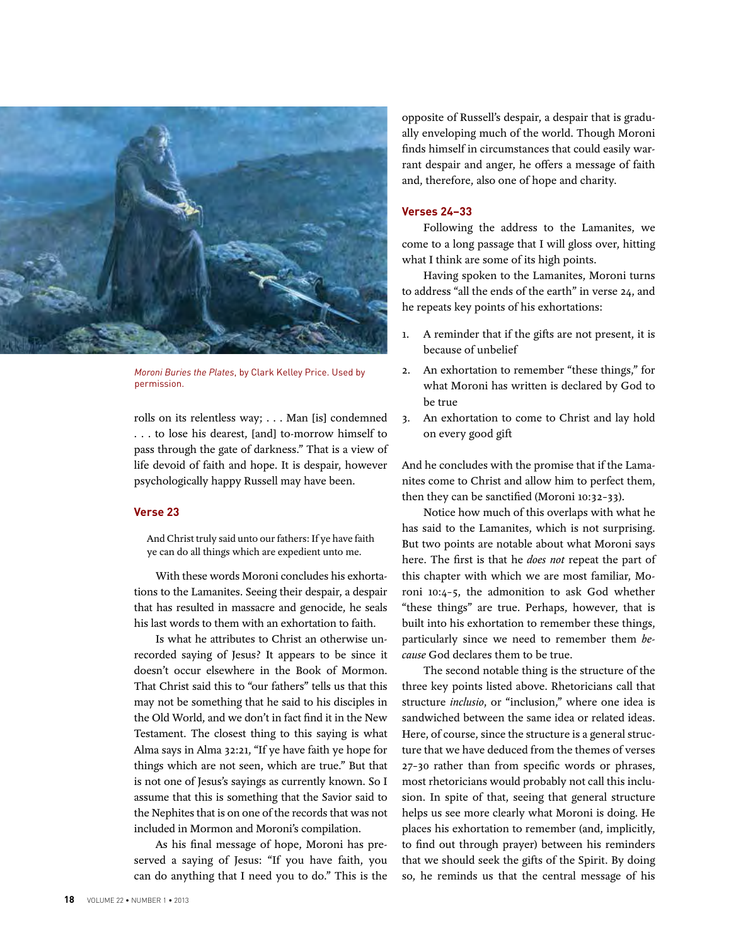

*Moroni Buries the Plates*, by Clark Kelley Price. Used by permission.

rolls on its relentless way; . . . Man [is] condemned . . . to lose his dearest, [and] to-morrow himself to pass through the gate of darkness." That is a view of life devoid of faith and hope. It is despair, however psychologically happy Russell may have been.

## **Verse 23**

And Christ truly said unto our fathers: If ye have faith ye can do all things which are expedient unto me.

With these words Moroni concludes his exhortations to the Lamanites. Seeing their despair, a despair that has resulted in massacre and genocide, he seals his last words to them with an exhortation to faith.

Is what he attributes to Christ an otherwise unrecorded saying of Jesus? It appears to be since it doesn't occur elsewhere in the Book of Mormon. That Christ said this to "our fathers" tells us that this may not be something that he said to his disciples in the Old World, and we don't in fact find it in the New Testament. The closest thing to this saying is what Alma says in Alma 32:21, "If ye have faith ye hope for things which are not seen, which are true." But that is not one of Jesus's sayings as currently known. So I assume that this is something that the Savior said to the Nephites that is on one of the records that was not included in Mormon and Moroni's compilation.

As his final message of hope, Moroni has preserved a saying of Jesus: "If you have faith, you can do anything that I need you to do." This is the opposite of Russell's despair, a despair that is gradually enveloping much of the world. Though Moroni finds himself in circumstances that could easily warrant despair and anger, he offers a message of faith and, therefore, also one of hope and charity.

#### **Verses 24–33**

Following the address to the Lamanites, we come to a long passage that I will gloss over, hitting what I think are some of its high points.

Having spoken to the Lamanites, Moroni turns to address "all the ends of the earth" in verse 24, and he repeats key points of his exhortations:

- 1. A reminder that if the gifts are not present, it is because of unbelief
- 2. An exhortation to remember "these things," for what Moroni has written is declared by God to be true
- 3. An exhortation to come to Christ and lay hold on every good gift

And he concludes with the promise that if the Lamanites come to Christ and allow him to perfect them, then they can be sanctified (Moroni 10:32–33).

Notice how much of this overlaps with what he has said to the Lamanites, which is not surprising. But two points are notable about what Moroni says here. The first is that he *does not* repeat the part of this chapter with which we are most familiar, Moroni 10:4–5, the admonition to ask God whether "these things" are true. Perhaps, however, that is built into his exhortation to remember these things, particularly since we need to remember them *because* God declares them to be true.

The second notable thing is the structure of the three key points listed above. Rhetoricians call that structure *inclusio*, or "inclusion," where one idea is sandwiched between the same idea or related ideas. Here, of course, since the structure is a general structure that we have deduced from the themes of verses 27–30 rather than from specific words or phrases, most rhetoricians would probably not call this inclusion. In spite of that, seeing that general structure helps us see more clearly what Moroni is doing. He places his exhortation to remember (and, implicitly, to find out through prayer) between his reminders that we should seek the gifts of the Spirit. By doing so, he reminds us that the central message of his